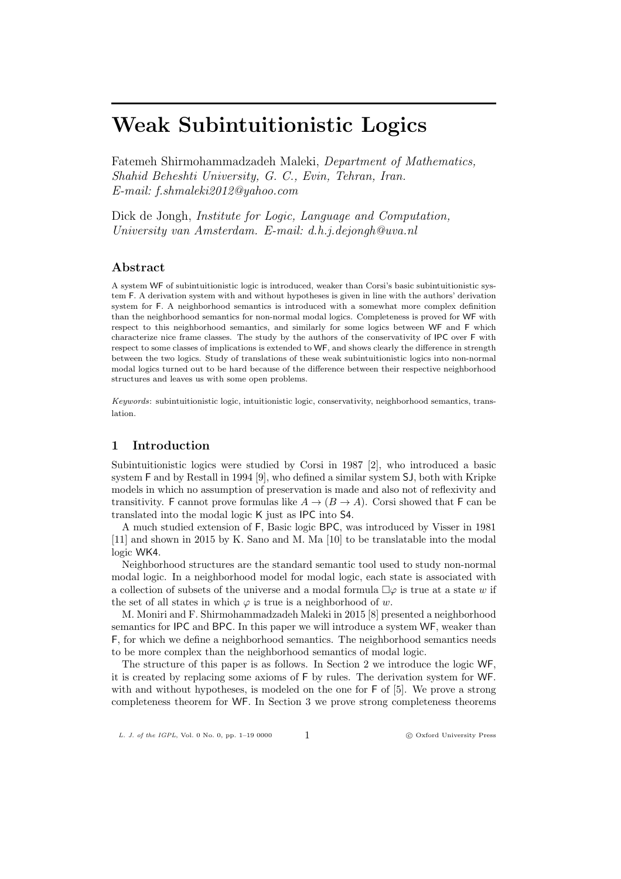Fatemeh Shirmohammadzadeh Maleki, *Department of Mathematics, Shahid Beheshti University, G. C., Evin, Tehran, Iran. E-mail: f.shmaleki2012@yahoo.com*

Dick de Jongh, *Institute for Logic, Language and Computation, University van Amsterdam. E-mail: d.h.j.dejongh@uva.nl*

# **Abstract**

A system WF of subintuitionistic logic is introduced, weaker than Corsi's basic subintuitionistic system F. A derivation system with and without hypotheses is given in line with the authors' derivation system for F. A neighborhood semantics is introduced with a somewhat more complex definition than the neighborhood semantics for non-normal modal logics. Completeness is proved for WF with respect to this neighborhood semantics, and similarly for some logics between WF and F which characterize nice frame classes. The study by the authors of the conservativity of IPC over F with respect to some classes of implications is extended to WF, and shows clearly the difference in strength between the two logics. Study of translations of these weak subintuitionistic logics into non-normal modal logics turned out to be hard because of the difference between their respective neighborhood structures and leaves us with some open problems.

*Keywords*: subintuitionistic logic, intuitionistic logic, conservativity, neighborhood semantics, translation.

## **1 Introduction**

Subintuitionistic logics were studied by Corsi in 1987 [2], who introduced a basic system F and by Restall in 1994 [9], who defined a similar system SJ, both with Kripke models in which no assumption of preservation is made and also not of reflexivity and transitivity. F cannot prove formulas like  $A \rightarrow (B \rightarrow A)$ . Corsi showed that F can be translated into the modal logic K just as IPC into S4.

A much studied extension of F, Basic logic BPC, was introduced by Visser in 1981 [11] and shown in 2015 by K. Sano and M. Ma [10] to be translatable into the modal logic WK4.

Neighborhood structures are the standard semantic tool used to study non-normal modal logic. In a neighborhood model for modal logic, each state is associated with a collection of subsets of the universe and a modal formula  $\Box \varphi$  is true at a state *w* if the set of all states in which  $\varphi$  is true is a neighborhood of *w*.

M. Moniri and F. Shirmohammadzadeh Maleki in 2015 [8] presented a neighborhood semantics for IPC and BPC. In this paper we will introduce a system WF, weaker than F, for which we define a neighborhood semantics. The neighborhood semantics needs to be more complex than the neighborhood semantics of modal logic.

The structure of this paper is as follows. In Section 2 we introduce the logic WF, it is created by replacing some axioms of F by rules. The derivation system for WF. with and without hypotheses, is modeled on the one for F of [5]. We prove a strong completeness theorem for WF. In Section 3 we prove strong completeness theorems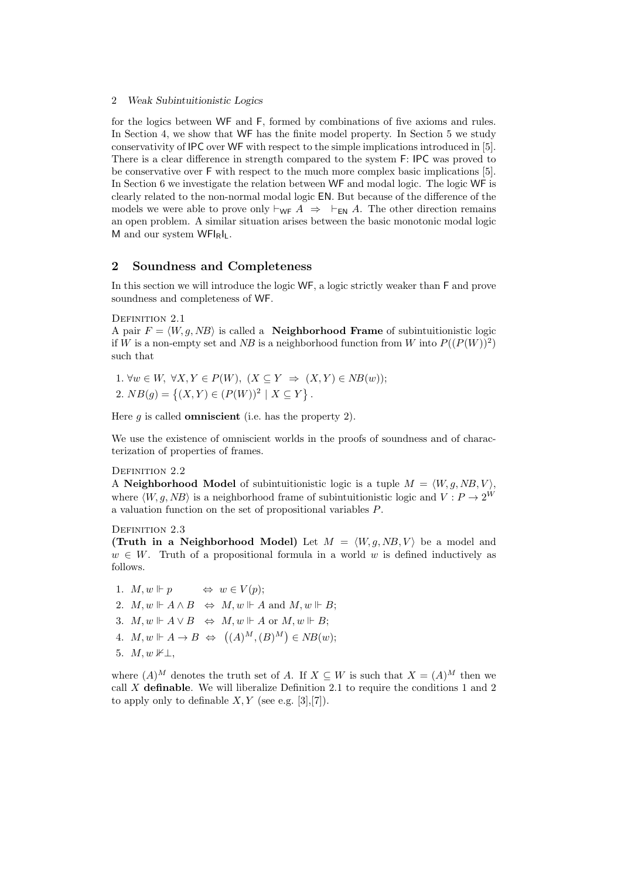for the logics between WF and F, formed by combinations of five axioms and rules. In Section 4, we show that WF has the finite model property. In Section 5 we study conservativity of IPC over WF with respect to the simple implications introduced in [5]. There is a clear difference in strength compared to the system F: IPC was proved to be conservative over F with respect to the much more complex basic implications [5]. In Section 6 we investigate the relation between WF and modal logic. The logic WF is clearly related to the non-normal modal logic EN. But because of the difference of the models we were able to prove only  $\vdash_{\mathsf{WF}} A \Rightarrow \vdash_{\mathsf{EN}} A$ . The other direction remains an open problem. A similar situation arises between the basic monotonic modal logic M and our system WFIRIL.

## **2 Soundness and Completeness**

In this section we will introduce the logic WF, a logic strictly weaker than F and prove soundness and completeness of WF.

## DEFINITION 2.1

A pair  $F = \langle W, q, NB \rangle$  is called a **Neighborhood Frame** of subintuitionistic logic if *W* is a non-empty set and *NB* is a neighborhood function from *W* into  $P((P(W))^2)$ such that

1.  $\forall w \in W$ ,  $\forall X, Y \in P(W)$ ,  $(X \subseteq Y \implies (X, Y) \in NB(w)$ ; 2.  $NB(g) = \{(X, Y) \in (P(W))^2 \mid X \subseteq Y\}.$ 

Here *g* is called **omniscient** (i.e. has the property 2).

We use the existence of omniscient worlds in the proofs of soundness and of characterization of properties of frames.

#### DEFINITION 2.2

A **Neighborhood** Model of subintuitionistic logic is a tuple  $M = \langle W, g, NB, V \rangle$ , where  $\langle W, q, NB \rangle$  is a neighborhood frame of subintuitionistic logic and  $V : P \rightarrow 2^W$ a valuation function on the set of propositional variables *P*.

#### DEFINITION 2.3

**(Truth in a Neighborhood Model)** Let  $M = \langle W, g, NB, V \rangle$  be a model and  $w \in W$ . Truth of a propositional formula in a world *w* is defined inductively as follows.

1.  $M, w \Vdash p \Leftrightarrow w \in V(p);$ 

2.  $M, w \Vdash A \land B \Leftrightarrow M, w \Vdash A \text{ and } M, w \Vdash B;$ 

- 3.  $M, w \Vdash A \vee B \Leftrightarrow M, w \Vdash A$  or  $M, w \Vdash B$ ;
- $A. M, w \Vdash A \to B \Leftrightarrow ((A)^M, (B)^M) \in NB(w);$
- 5.  $M, w \nvDash \perp$

where  $(A)^M$  denotes the truth set of *A*. If  $X \subseteq W$  is such that  $X = (A)^M$  then we call *X* **definable**. We will liberalize Definition 2.1 to require the conditions 1 and 2 to apply only to definable  $X, Y$  (see e.g. [3],[7]).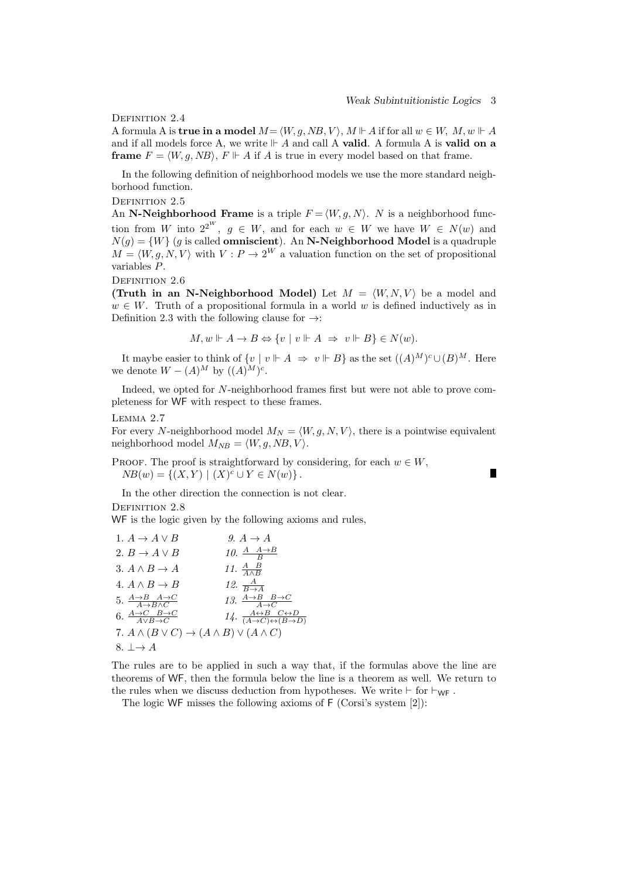П

DEFINITION 2.4

A formula A is **true in a model**  $M = \langle W, g, NB, V \rangle$ ,  $M \Vdash A$  if for all  $w \in W$ ,  $M, w \Vdash A$ and if all models force A, we write  $\mathbb{H}$  A and call A **valid**. A formula A is **valid on a frame**  $F = \langle W, g, NB \rangle$ ,  $F \Vdash A$  if *A* is true in every model based on that frame.

In the following definition of neighborhood models we use the more standard neighborhood function.

DEFINITION 2.5

An **N-Neighborhood Frame** is a triple  $F = \langle W, q, N \rangle$ . *N* is a neighborhood function from *W* into  $2^{2^W}$ ,  $g \in W$ , and for each  $w \in W$  we have  $W \in N(w)$  and  $N(g) = \{W\}$  (*g* is called **omniscient**). An **N-Neighborhood Model** is a quadruple  $M = \langle W, g, N, V \rangle$  with  $V : P \to 2^W$  a valuation function on the set of propositional variables *P*.

DEFINITION 2.6

**(Truth in an N-Neighborhood Model)** Let  $M = \langle W, N, V \rangle$  be a model and  $w \in W$ . Truth of a propositional formula in a world *w* is defined inductively as in Definition 2.3 with the following clause for *→*:

$$
M, w \Vdash A \to B \Leftrightarrow \{v \mid v \Vdash A \Rightarrow v \Vdash B\} \in N(w).
$$

It maybe easier to think of  $\{v \mid v \Vdash A \Rightarrow v \Vdash B\}$  as the set  $((A)^M)^c \cup (B)^M$ . Here we denote  $W - (A)^M$  by  $((A)^M)^c$ .

Indeed, we opted for *N*-neighborhood frames first but were not able to prove completeness for WF with respect to these frames.

#### Lemma 2.7

For every *N*-neighborhood model  $M_N = \langle W, g, N, V \rangle$ , there is a pointwise equivalent neighborhood model  $M_{NB} = \langle W, g, NB, V \rangle$ .

PROOF. The proof is straightforward by considering, for each  $w \in W$ ,  $NB(w) = \{(X, Y) | (X)^c \cup Y \in N(w)\}.$ 

In the other direction the connection is not clear.

DEFINITION 2.8

WF is the logic given by the following axioms and rules,

| 1. $A \rightarrow A \vee B$                                          | 9. $A \rightarrow A$                                                                            |
|----------------------------------------------------------------------|-------------------------------------------------------------------------------------------------|
| 2. $B \to A \vee B$                                                  | 10. $\frac{A-A\rightarrow B}{B}$                                                                |
| 3. $A \wedge B \rightarrow A$                                        | 11. $\frac{A}{4 \wedge B}$                                                                      |
| 4. $A \wedge B \rightarrow B$                                        | 12. $\frac{A}{B \rightarrow A}$                                                                 |
| 5. $\frac{A\rightarrow B\ A\rightarrow C}{A\rightarrow B\wedge C}$   | 13. $\frac{A\rightarrow B\quad B\rightarrow C}{A\rightarrow C}$                                 |
| 6. $\frac{A\rightarrow C\quad B\rightarrow C}{A\vee B\rightarrow C}$ | 14. $\frac{A \leftrightarrow B \quad C \leftrightarrow D}{(A \to C) \leftrightarrow (B \to D)}$ |
| 7. $A \wedge (B \vee C) \rightarrow (A \wedge B) \vee (A \wedge C)$  |                                                                                                 |
| 8. $\perp \rightarrow A$                                             |                                                                                                 |

The rules are to be applied in such a way that, if the formulas above the line are theorems of WF, then the formula below the line is a theorem as well. We return to the rules when we discuss deduction from hypotheses. We write  $\vdash$  for  $\vdash_{\mathsf{WF}}$ .

The logic WF misses the following axioms of F (Corsi's system [2]):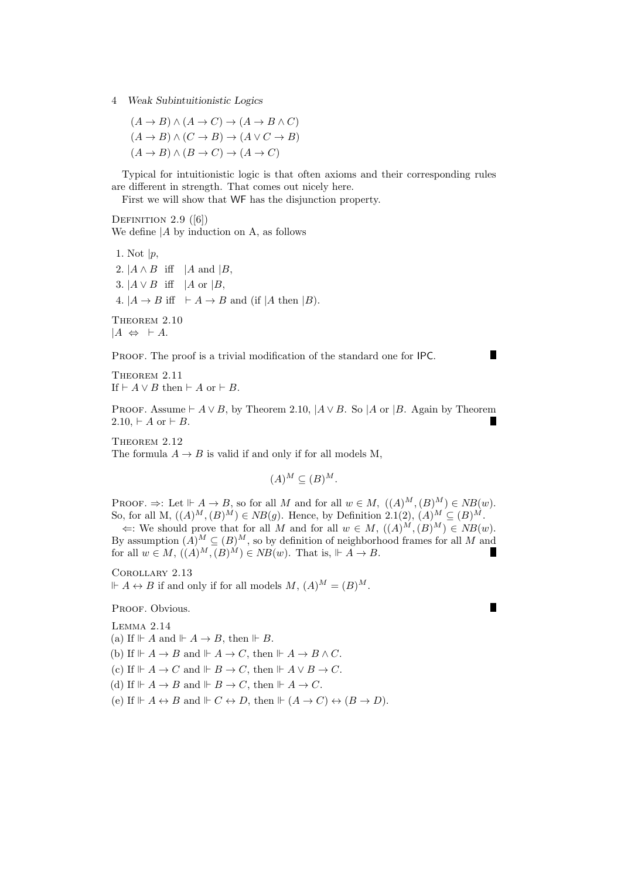$$
(A \to B) \land (A \to C) \to (A \to B \land C)
$$
  

$$
(A \to B) \land (C \to B) \to (A \lor C \to B)
$$
  

$$
(A \to B) \land (B \to C) \to (A \to C)
$$

Typical for intuitionistic logic is that often axioms and their corresponding rules are different in strength. That comes out nicely here.

First we will show that WF has the disjunction property.

DEFINITION  $2.9$  ([6]) We define *|A* by induction on A, as follows

1. Not *|p*, 2.  $|A \wedge B|$  iff  $|A|$  and  $|B|$ , 3.  $|A \vee B|$  iff  $|A \text{ or } |B|$ , 4.  $|A \rightarrow B$  iff  $\vdash A \rightarrow B$  and (if  $|A \text{ then } |B|$ ).

THEOREM  $2.10\,$  $|A$  ⇔  $\vdash$  *A*.

PROOF. The proof is a trivial modification of the standard one for IPC.

Theorem 2.11 If  $\vdash A \lor B$  then  $\vdash A$  or  $\vdash B$ .

PROOF. Assume  $\vdash A \lor B$ , by Theorem 2.10,  $\vert A \lor B$ . So  $\vert A$  or  $\vert B$ . Again by Theorem  $2.10, \, \vdash A \text{ or } \vdash B.$ 

THEOREM 2.12 The formula  $A \rightarrow B$  is valid if and only if for all models M,

$$
(A)^M \subseteq (B)^M.
$$

PROOF.  $\Rightarrow$ : Let  $\mathbb{H} \times A \to B$ , so for all *M* and for all  $w \in M$ ,  $((A)^M, (B)^M) \in NB(w)$ . So, for all M,  $((A)^M, (B)^M)$  ∈ *NB*(*g*). Hence, by Definition 2.1(2),  $(A)^M$  ⊆  $(B)^M$ .  $\Leftrightarrow$ : We should prove that for all *M* and for all  $w \in M$ ,  $((A)^{M}, (B)^{M}) \in NB(w)$ . By assumption  $(A)^M \subseteq (B)^M$ , so by definition of neighborhood frames for all M and for all  $w \in M$ ,  $((A)^M, (B)^M) \in NB(w)$ . That is,  $\Vdash A \to B$ .

Corollary 2.13  $A \leftrightarrow B$  if and only if for all models *M*,  $(A)^M = (B)^M$ .

PROOF. Obvious.

Lemma 2.14 (a) If  $\mathbb{H}$  *A* and  $\mathbb{H}$  *A*  $\rightarrow$  *B*, then  $\mathbb{H}$  *B*. (b) If  $\Vdash A \to B$  and  $\Vdash A \to C$ , then  $\Vdash A \to B \land C$ . (c) If  $\mathbb{H} \dash A \to C$  and  $\mathbb{H} \dash B \to C$ , then  $\mathbb{H} \dash A \lor B \to C$ . (d) If  $\Vdash A \to B$  and  $\Vdash B \to C$ , then  $\Vdash A \to C$ . (e) If  $\mathbb{H}$   $A \leftrightarrow B$  and  $\mathbb{H}$   $C \leftrightarrow D$ , then  $\mathbb{H}$   $(A \to C) \leftrightarrow (B \to D)$ . П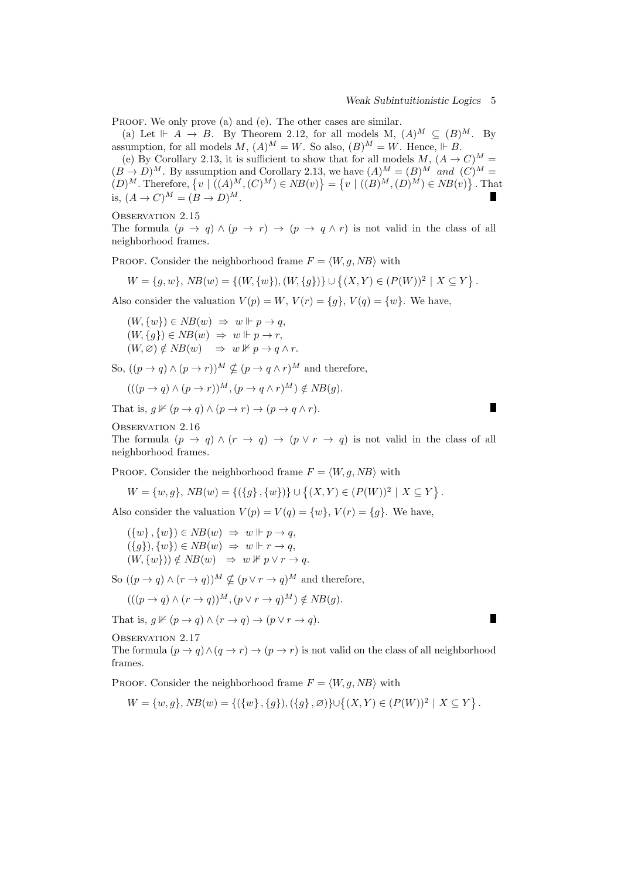$\blacksquare$ 

Г

PROOF. We only prove (a) and (e). The other cases are similar.<br>(a) Let  $\mathrel{\Vdash} A \to B$ . By Theorem 2.12, for all models M,  $(A)^M \subset (B)^M$ . By (a) Let  $\mathbb{H}$  *A*  $\rightarrow$  *B*. By Theorem 2.12, for all models M,  $(A)^M \subseteq (B)^M$ . By assumption, for all models  $M$ ,  $(A)^M = W$ . So also,  $(B)^M = W$ . Hence,  $\Vdash B$ .

(e) By Corollary 2.13, it is sufficient to show that for all models  $M$ ,  $(A \rightarrow C)^M$  =  $(B \to D)^M$ . By assumption and Corollary 2.13, we have  $(A)^M = (B)^M$  *and*  $(C)^M = (C)^M$  $(D)^M$ . Therefore,  $\{v \mid ((A)^M, (C)^M) \in NB(v)\} = \{v \mid ((B)^M, (D)^M) \in NB(v)\}$ . That is,  $(A → C)^M = (B → D)^M$ .

OBSERVATION 2.15

The formula  $(p \to q) \land (p \to r) \to (p \to q \land r)$  is not valid in the class of all neighborhood frames.

PROOF. Consider the neighborhood frame  $F = \langle W, g, NB \rangle$  with

$$
W = \{g, w\}, \, NB(w) = \{(W, \{w\}), (W, \{g\})\} \cup \{(X, Y) \in (P(W))^2 \mid X \subseteq Y\}.
$$

Also consider the valuation  $V(p) = W$ ,  $V(r) = \{g\}$ ,  $V(q) = \{w\}$ . We have,

 $(W, \{w\}) \in NB(w) \Rightarrow w \Vdash p \rightarrow q,$  $(W, \{g\}) \in NB(w) \Rightarrow w \Vdash p \rightarrow r,$  $(W, \varnothing) \notin NB(w) \Rightarrow w \nVdash p \rightarrow q \wedge r.$ 

So,  $((p \rightarrow q) \land (p \rightarrow r))^M \nsubseteq (p \rightarrow q \land r)^M$  and therefore,

$$
(((p \to q) \land (p \to r))^M, (p \to q \land r)^M) \notin NB(g).
$$

That is,  $q \nvDash (p \rightarrow q) \land (p \rightarrow r) \rightarrow (p \rightarrow q \land r)$ .

OBSERVATION 2.16

The formula  $(p \to q) \land (r \to q) \to (p \lor r \to q)$  is not valid in the class of all neighborhood frames.

PROOF. Consider the neighborhood frame  $F = \langle W, g, NB \rangle$  with

$$
W = \{w, g\}, \, NB(w) = \{(\{g\}, \{w\})\} \cup \{(X, Y) \in (P(W))^2 \mid X \subseteq Y\}.
$$

Also consider the valuation  $V(p) = V(q) = \{w\}$ ,  $V(r) = \{q\}$ . We have,

$$
(\{w\}, \{w\}) \in NB(w) \Rightarrow w \Vdash p \to q,
$$
  

$$
(\{g\}), \{w\}) \in NB(w) \Rightarrow w \Vdash r \to q,
$$
  

$$
(W, \{w\}) \notin NB(w) \Rightarrow w \nvDash p \lor r \to q.
$$

So  $((p \rightarrow q) \land (r \rightarrow q))^{M} \nsubseteq (p \lor r \rightarrow q)^{M}$  and therefore,

$$
(((p \to q) \land (r \to q))^{M}, (p \lor r \to q)^{M}) \notin NB(g).
$$

That is,  $q \nvDash (p \rightarrow q) \land (r \rightarrow q) \rightarrow (p \lor r \rightarrow q)$ .

OBSERVATION 2.17

The formula  $(p \to q) \land (q \to r) \to (p \to r)$  is not valid on the class of all neighborhood frames.

PROOF. Consider the neighborhood frame  $F = \langle W, g, NB \rangle$  with

$$
W = \{w, g\}, NB(w) = \{(\{w\}, \{g\}), (\{g\}, \varnothing)\} \cup \{(X, Y) \in (P(W))^2 \mid X \subseteq Y\}.
$$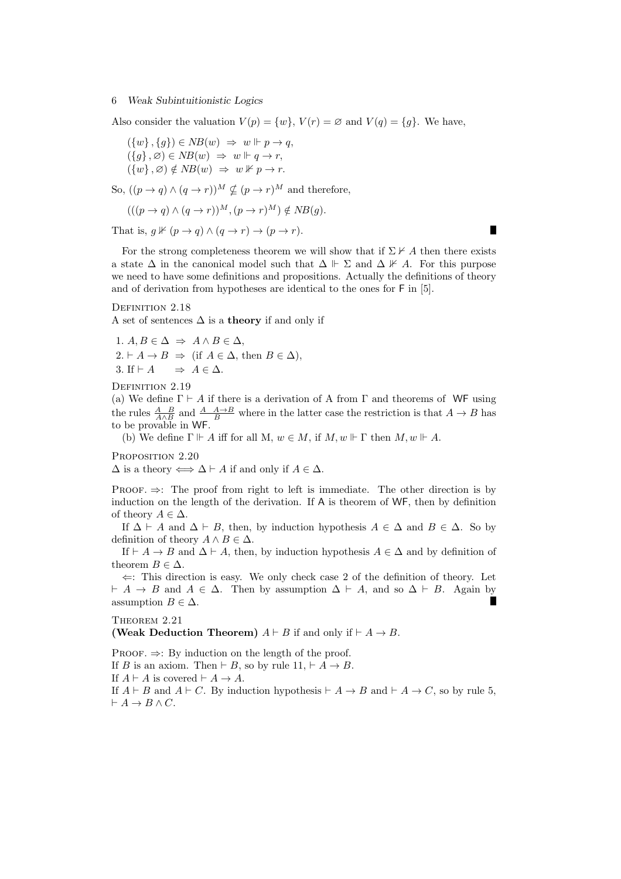Also consider the valuation  $V(p) = \{w\}$ ,  $V(r) = \emptyset$  and  $V(q) = \{g\}$ . We have,

$$
(\{w\}, \{g\}) \in NB(w) \Rightarrow w \Vdash p \to q,
$$
  

$$
(\{g\}, \varnothing) \in NB(w) \Rightarrow w \Vdash q \to r,
$$
  

$$
(\{w\}, \varnothing) \notin NB(w) \Rightarrow w \nvDash p \to r.
$$

So,  $((p \rightarrow q) \land (q \rightarrow r))^M \nsubseteq (p \rightarrow r)^M$  and therefore,

$$
(((p \to q) \land (q \to r))^{M}, (p \to r)^{M}) \notin NB(g).
$$

That is,  $q \nvDash (p \rightarrow q) \land (q \rightarrow r) \rightarrow (p \rightarrow r)$ .

For the strong completeness theorem we will show that if  $\Sigma \nvdash A$  then there exists a state  $\Delta$  in the canonical model such that  $\Delta \Vdash \Sigma$  and  $\Delta \nvDash A$ . For this purpose we need to have some definitions and propositions. Actually the definitions of theory and of derivation from hypotheses are identical to the ones for F in [5].

DEFINITION 2.18

A set of sentences ∆ is a **theory** if and only if

1. 
$$
A, B \in \Delta \Rightarrow A \land B \in \Delta
$$
,  
\n2.  $\vdash A \rightarrow B \Rightarrow$  (if  $A \in \Delta$ , then  $B \in \Delta$ ),  
\n3. If  $\vdash A \Rightarrow A \in \Delta$ .

DEFINITION 2.19

(a) We define  $\Gamma \vdash A$  if there is a derivation of A from  $\Gamma$  and theorems of WF using the rules  $\frac{A}{A \wedge B}$  and  $\frac{A}{B}$  where in the latter case the restriction is that  $A \to B$  has to be provable in WF.

(b) We define  $\Gamma \Vdash A$  iff for all M,  $w \in M$ , if  $M, w \Vdash \Gamma$  then  $M, w \Vdash A$ .

PROPOSITION 2.20

 $\Delta$  is a theory  $\Longleftrightarrow$   $\Delta \vdash A$  if and only if  $A \in \Delta$ .

PROOF.  $\Rightarrow$ : The proof from right to left is immediate. The other direction is by induction on the length of the derivation. If A is theorem of WF, then by definition of theory  $A \in \Delta$ .

If  $\Delta \vdash A$  and  $\Delta \vdash B$ , then, by induction hypothesis  $A \in \Delta$  and  $B \in \Delta$ . So by definition of theory  $A \wedge B \in \Delta$ .

If  $\vdash A \rightarrow B$  and  $\Delta \vdash A$ , then, by induction hypothesis  $A \in \Delta$  and by definition of theorem  $B \in \Delta$ .

*⇐*: This direction is easy. We only check case 2 of the definition of theory. Let  $A \rightarrow B$  and  $A \in \Delta$ . Then by assumption  $\Delta \vdash A$ , and so  $\Delta \vdash B$ . Again by assumption  $B \in \Delta$ .

## THEOREM 2.21

**(Weak Deduction Theorem)**  $A \vdash B$  if and only if  $\vdash A \rightarrow B$ .

Proof. *⇒*: By induction on the length of the proof.

If *B* is an axiom. Then  $\vdash$  *B*, so by rule 11,  $\vdash$  *A*  $\rightarrow$  *B*.

If  $A \vdash A$  is covered  $\vdash A \rightarrow A$ .

If  $A \vdash B$  and  $A \vdash C$ . By induction hypothesis  $\vdash A \rightarrow B$  and  $\vdash A \rightarrow C$ , so by rule 5,  $\vdash A \to B \land C$ .

П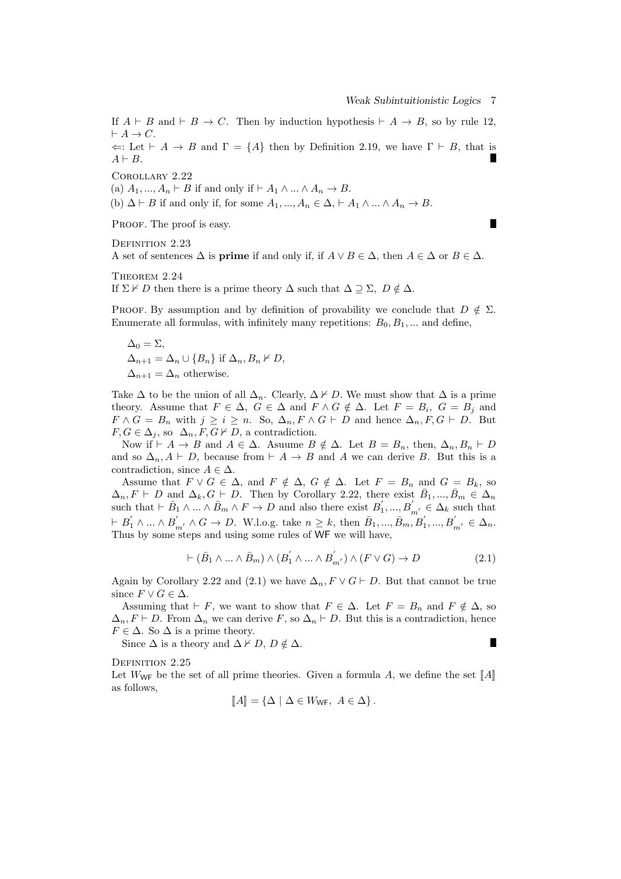If  $A \vdash B$  and  $\vdash B \rightarrow C$ . Then by induction hypothesis  $\vdash A \rightarrow B$ , so by rule 12,  $\vdash A \rightarrow C$ .

 $\Leftarrow$ : Let  $\vdash A \rightarrow B$  and  $\Gamma = \{A\}$  then by Definition 2.19, we have  $\Gamma \vdash B$ , that is  $A \vdash B$ .

Corollary 2.22

(a)  $A_1, \ldots, A_n \vdash B$  if and only if  $\vdash A_1 \land \ldots \land A_n \rightarrow B$ .

(b)  $\Delta \vdash B$  if and only if, for some  $A_1, ..., A_n \in \Delta, \vdash A_1 \wedge ... \wedge A_n \rightarrow B$ .

PROOF. The proof is easy.

П

DEFINITION 2.23

A set of sentences  $\Delta$  is **prime** if and only if, if  $A \lor B \in \Delta$ , then  $A \in \Delta$  or  $B \in \Delta$ *.* 

THEOREM 2.24 If  $\Sigma \nvdash D$  then there is a prime theory  $\Delta$  such that  $\Delta \supseteq \Sigma$ ,  $D \notin \Delta$ .

PROOF. By assumption and by definition of provability we conclude that  $D \notin \Sigma$ . Enumerate all formulas, with infinitely many repetitions:  $B_0, B_1, \ldots$  and define,

 $\Delta_0 = \Sigma$ ,  $\Delta_{n+1} = \Delta_n \cup \{B_n\}$  if  $\Delta_n, B_n \nvdash D$ ,  $\Delta_{n+1} = \Delta_n$  otherwise.

Take  $\Delta$  to be the union of all  $\Delta_n$ . Clearly,  $\Delta \nvdash D$ . We must show that  $\Delta$  is a prime theory. Assume that  $F \in \Delta$ ,  $G \in \Delta$  and  $F \wedge G \notin \Delta$ . Let  $F = B_i$ ,  $G = B_j$  and  $F \wedge G = B_n$  with  $j \geq i \geq n$ . So,  $\Delta_n, F \wedge G \vdash D$  and hence  $\Delta_n, F, G \vdash D$ . But  $F, G \in \Delta_j$ , so  $\Delta_n, F, G \nvdash D$ , a contradiction.

Now if  $\vdash A \rightarrow B$  and  $A \in \Delta$ . Asuume  $B \notin \Delta$ . Let  $B = B_n$ , then,  $\Delta_n, B_n \vdash D$ and so  $\Delta_n$ ,  $A \vdash D$ , because from  $\vdash A \rightarrow B$  and A we can derive B. But this is a contradiction, since  $A \in \Delta$ .

Assume that  $F \vee G \in \Delta$ , and  $F \notin \Delta$ ,  $G \notin \Delta$ . Let  $F = B_n$  and  $G = B_k$ , so  $\Delta_n$ ,  $F \vdash D$  and  $\Delta_k$ ,  $G \vdash D$ . Then by Corollary 2.22, there exist  $\bar{B}_1, ..., \bar{B}_m \in \Delta_n$ such that  $\vdash \bar{B}_1 \land \ldots \land \bar{B}_m \land F \to D$  and also there exist  $B'_1, ..., B'_{m'} \in \Delta_k$  such that  $\vdash B'_1 \land \dots \land B'_{m'} \land G \to D$ . W.l.o.g. take  $n \geq k$ , then  $\bar{B}_1, \dots, \bar{B}_m, \bar{B}'_1, \dots, \bar{B}'_{m'} \in \Delta_n$ . Thus by some steps and using some rules of WF we will have,

$$
\vdash (\bar{B}_1 \land \dots \land \bar{B}_m) \land (B'_1 \land \dots \land B'_{m'}) \land (F \lor G) \to D \tag{2.1}
$$

Again by Corollary 2.22 and (2.1) we have  $\Delta_n$ ,  $F \vee G \vdash D$ . But that cannot be true since  $F \vee G \in \Delta$ .

Assuming that  $\vdash$  *F*, we want to show that  $F \in \Delta$ . Let  $F = B_n$  and  $F \notin \Delta$ , so  $\Delta_n$ ,  $F \vdash D$ . From  $\Delta_n$  we can derive *F*, so  $\Delta_n \vdash D$ . But this is a contradiction, hence  $F \in \Delta$ . So  $\Delta$  is a prime theory.

Since  $\Delta$  is a theory and  $\Delta \nvdash D, D \notin \Delta$ .

Г

DEFINITION 2.25

Let  $W_{\text{WF}}$  be the set of all prime theories. Given a formula A, we define the set  $\llbracket A \rrbracket$ as follows,

$$
\llbracket A \rrbracket = \{ \Delta \mid \Delta \in W_{\mathsf{WF}}, \ A \in \Delta \}.
$$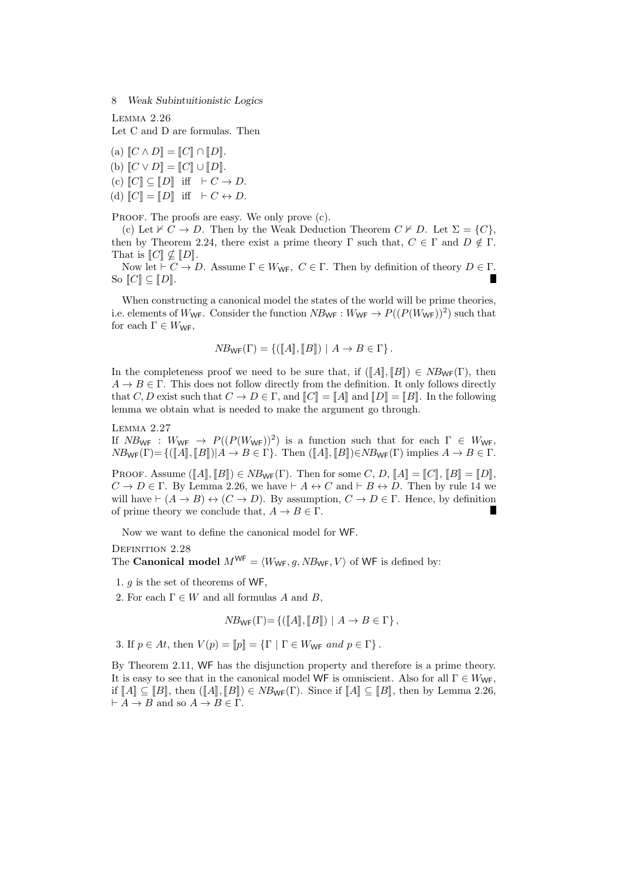Lemma 2.26 Let C and D are formulas. Then

 $(a)$   $\llbracket C \wedge D \rrbracket = \llbracket C \rrbracket \cap \llbracket D \rrbracket.$  $(b)$   $\llbracket C \vee D \rrbracket = \llbracket C \rrbracket \cup \llbracket D \rrbracket.$  $(C)$   $[C] \subseteq [D]$  iff  $\vdash C \to D$ . (d)  $\llbracket C \rrbracket = \llbracket D \rrbracket$  iff  $\vdash C \leftrightarrow D$ .

PROOF. The proofs are easy. We only prove (c).

(c) Let  $\nvdash C \rightarrow D$ . Then by the Weak Deduction Theorem  $C \nvdash D$ . Let  $\Sigma = \{C\}$ , then by Theorem 2.24, there exist a prime theory  $\Gamma$  such that,  $C \in \Gamma$  and  $D \notin \Gamma$ . That is  $\llbracket C \rrbracket \nsubseteq \llbracket D \rrbracket.$ 

Now let  $\vdash$  *C*  $\rightarrow$  *D*. Assume  $\Gamma \in W_{\mathsf{WF}}$ , *C*  $\in$   $\Gamma$ . Then by definition of theory *D*  $\in$   $\Gamma$ . So  $\llbracket C \rrbracket \subseteq \llbracket D \rrbracket$ .

When constructing a canonical model the states of the world will be prime theories, i.e. elements of  $W_{\text{WF}}$ . Consider the function  $NB_{\text{WF}} : W_{\text{WF}} \to P((P(W_{\text{WF}}))^2)$  such that for each  $\Gamma \in W_{\text{WF}}$ ,

$$
NB_{\mathsf{WF}}(\Gamma) = \{([\![A]\!], [\![B]\!]) \mid A \to B \in \Gamma\}.
$$

In the completeness proof we need to be sure that, if  $(\llbracket A \rrbracket, \llbracket B \rrbracket) \in NB_{\mathsf{WF}}(\Gamma)$ , then  $A \rightarrow B \in \Gamma$ . This does not follow directly from the definition. It only follows directly that *C*, *D* exist such that  $C \to D \in \Gamma$ , and  $\llbracket C \rrbracket = \llbracket A \rrbracket$  and  $\llbracket D \rrbracket = \llbracket B \rrbracket$ . In the following lemma we obtain what is needed to make the argument go through.

Lemma 2.27

If  $NB_{\text{WF}}$  :  $W_{\text{WF}} \rightarrow P((P(W_{\text{WF}}))^2)$  is a function such that for each  $\Gamma \in W_{\text{WF}}$ ,  $NB_{\text{WF}}(\Gamma) = \{([\![A]\!], [\![B]\!]) | A \to B \in \Gamma\}$ . Then  $([\![A]\!], [\![B]\!]) \in NB_{\text{WF}}(\Gamma)$  implies  $A \to B \in \Gamma$ .

PROOF. Assume  $(\llbracket A \rrbracket, \llbracket B \rrbracket) \in NB_{\mathsf{WF}}(\Gamma)$ . Then for some *C*, *D*,  $\llbracket A \rrbracket = \llbracket C \rrbracket$ ,  $\llbracket B \rrbracket = \llbracket D \rrbracket$ ,  $C \rightarrow D \in \Gamma$ . By Lemma 2.26, we have  $\vdash A \leftrightarrow C$  and  $\vdash B \leftrightarrow D$ . Then by rule 14 we will have  $\vdash (A \rightarrow B) \leftrightarrow (C \rightarrow D)$ . By assumption,  $C \rightarrow D \in \Gamma$ . Hence, by definition of prime theory we conclude that,  $A \to B \in \Gamma$ . П

Now we want to define the canonical model for WF.

DEFINITION 2.28

The **Canonical model**  $M^{WF} = \langle W_{WF}, g, NB_{WF}, V \rangle$  of WF is defined by:

1. *g* is the set of theorems of WF,

2. For each  $\Gamma \in W$  and all formulas *A* and *B*,

 $NB_{\text{WF}}(\Gamma) = \{([\![A]\!], [\![B]\!]) \mid A \to B \in \Gamma \},$ 

3. If  $p \in At$ , then  $V(p) = ||p|| = \{\Gamma \mid \Gamma \in W_{\text{WF}} \text{ and } p \in \Gamma \}.$ 

By Theorem 2.11, WF has the disjunction property and therefore is a prime theory. It is easy to see that in the canonical model WF is omniscient. Also for all  $\Gamma \in W_{\text{WF}}$ , if  $\llbracket A \rrbracket \subseteq \llbracket B \rrbracket$ , then  $(\llbracket A \rrbracket, \llbracket B \rrbracket) \in NB_{\mathsf{WF}}(\Gamma)$ . Since if  $\llbracket A \rrbracket \subseteq \llbracket B \rrbracket$ , then by Lemma 2.26,  $\vdash A \to B$  and so  $A \to B \in \Gamma$ .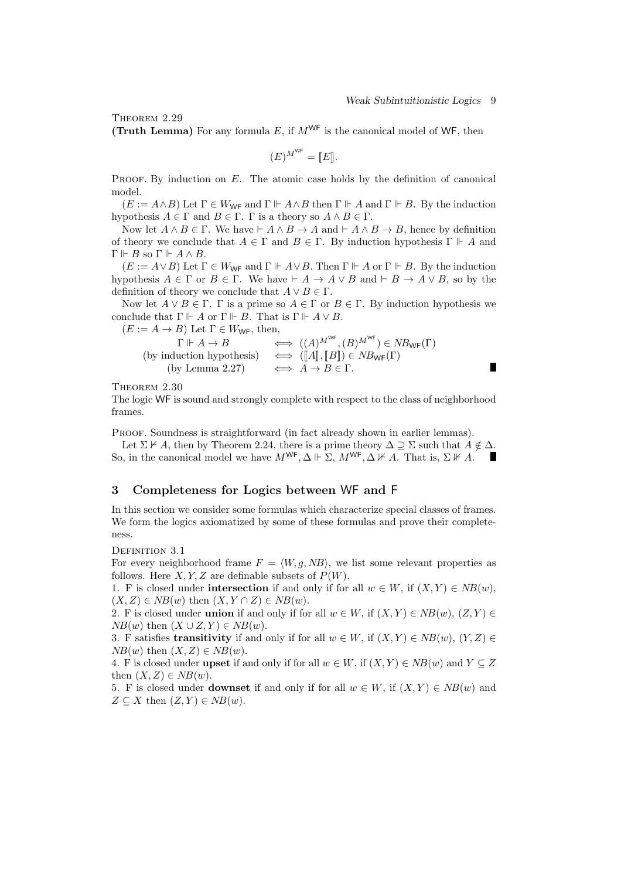П

THEOREM 2.29

**(Truth Lemma)** For any formula  $E$ , if  $M^{WF}$  is the canonical model of WF, then

$$
(E)^{M^{\text{WF}}} = [E].
$$

PROOF. By induction on *E*. The atomic case holds by the definition of canonical model.

 $(E := A \wedge B)$  Let  $\Gamma \in W_{\text{WF}}$  and  $\Gamma \Vdash A \wedge B$  then  $\Gamma \Vdash A$  and  $\Gamma \Vdash B$ . By the induction hypothesis  $A \in \Gamma$  and  $B \in \Gamma$ .  $\Gamma$  is a theory so  $A \wedge B \in \Gamma$ .

Now let  $A \wedge B \in \Gamma$ . We have  $\vdash A \wedge B \to A$  and  $\vdash A \wedge B \to B$ , hence by definition of theory we conclude that  $A \in \Gamma$  and  $B \in \Gamma$ . By induction hypothesis  $\Gamma \Vdash A$  and  $Γ ⊢ B$  so  $Γ ⊢ A ∧ B$ .

 $(E := A \vee B)$  Let  $\Gamma \in W_{\mathsf{WF}}$  and  $\Gamma \Vdash A \vee B$ . Then  $\Gamma \Vdash A$  or  $\Gamma \Vdash B$ . By the induction hypothesis  $A \in \Gamma$  or  $B \in \Gamma$ . We have  $\vdash A \rightarrow A \lor B$  and  $\vdash B \rightarrow A \lor B$ , so by the definition of theory we conclude that  $A \lor B \in \Gamma$ .

Now let  $A \lor B \in \Gamma$ .  $\Gamma$  is a prime so  $A \in \Gamma$  or  $B \in \Gamma$ . By induction hypothesis we conclude that  $\Gamma \Vdash A$  or  $\Gamma \Vdash B$ . That is  $\Gamma \Vdash A \vee B$ .<br>  $(F := A \rightarrow B)$  Let  $\Gamma \in W_{\text{MF}}$  then

$$
(E := A \to B) \text{ Let } \Gamma \in W_{\text{WF}}, \text{ then,}
$$
  
\n
$$
\Gamma \Vdash A \to B \iff ((A)^{M^{\text{WF}}}, (B)^{M^{\text{WF}}}) \in NB_{\text{WF}}(\Gamma)
$$
  
\n(by induction hypothesis)  $\iff ([A], [B]) \in NB_{\text{WF}}(\Gamma)$   
\n(by Lemma 2.27)  $\iff A \to B \in \Gamma.$ 

Theorem 2.30

The logic WF is sound and strongly complete with respect to the class of neighborhood frames.

PROOF. Soundness is straightforward (in fact already shown in earlier lemmas).

Let  $\Sigma \nvdash A$ , then by Theorem 2.24, there is a prime theory  $\Delta \supset \Sigma$  such that  $A \notin \Delta$ . So, in the canonical model we have  $M^{\text{WF}}, \Delta \Vdash \Sigma$ ,  $M^{\text{WF}}, \Delta \nvDash A$ . That is,  $\Sigma \nvDash A$ .

# **3 Completeness for Logics between** WF **and** F

In this section we consider some formulas which characterize special classes of frames. We form the logics axiomatized by some of these formulas and prove their completeness.

DEFINITION 3.1

For every neighborhood frame  $F = \langle W, g, NB \rangle$ , we list some relevant properties as follows. Here  $X, Y, Z$  are definable subsets of  $P(W)$ .

1. F is closed under **intersection** if and only if for all  $w \in W$ , if  $(X, Y) \in NB(w)$ ,  $(X, Z) \in NB(w)$  then  $(X, Y \cap Z) \in NB(w)$ .

2. F is closed under **union** if and only if for all  $w \in W$ , if  $(X, Y) \in NB(w)$ ,  $(Z, Y) \in$  $NB(w)$  then  $(X \cup Z, Y) \in NB(w)$ .

3. F satisfies **transitivity** if and only if for all  $w \in W$ , if  $(X, Y) \in NB(w)$ ,  $(Y, Z) \in$  $NB(w)$  then  $(X, Z) \in NB(w)$ .

4. F is closed under **upset** if and only if for all  $w \in W$ , if  $(X, Y) \in NB(w)$  and  $Y \subseteq Z$ then  $(X, Z) \in NB(w)$ .

5. F is closed under **downset** if and only if for all  $w \in W$ , if  $(X, Y) \in NB(w)$  and  $Z \subseteq X$  then  $(Z, Y) \in NB(w)$ .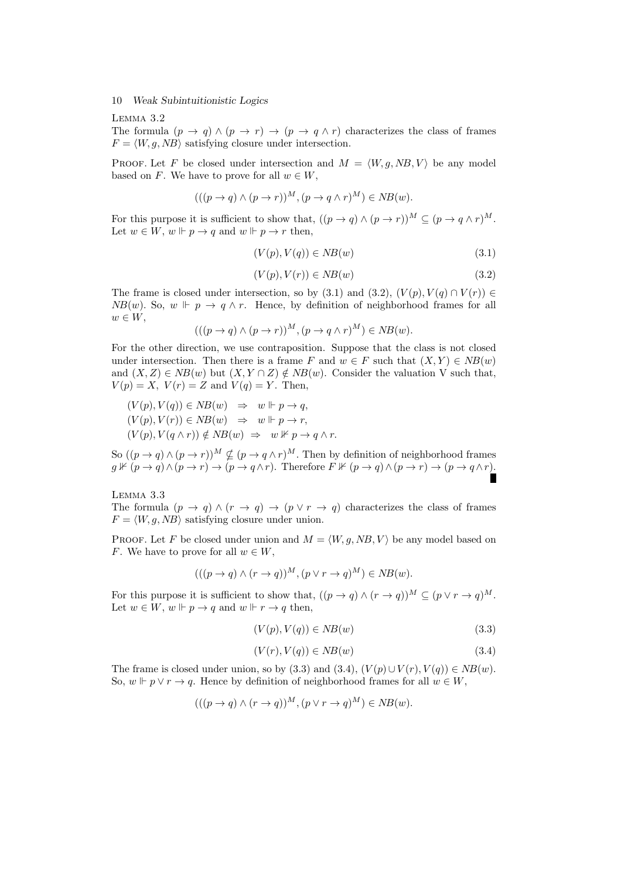Lemma 3.2

The formula  $(p \to q) \land (p \to r) \to (p \to q \land r)$  characterizes the class of frames  $F = \langle W, q, NB \rangle$  satisfying closure under intersection.

**PROOF.** Let F be closed under intersection and  $M = \langle W, g, NB, V \rangle$  be any model based on *F*. We have to prove for all  $w \in W$ ,

$$
(((p \to q) \land (p \to r))^{M}, (p \to q \land r)^{M}) \in NB(w).
$$

For this purpose it is sufficient to show that,  $((p \to q) \land (p \to r))^M \subseteq (p \to q \land r)^M$ . Let  $w \in W$ ,  $w \Vdash p \rightarrow q$  and  $w \Vdash p \rightarrow r$  then,

$$
(V(p), V(q)) \in NB(w)
$$
\n
$$
(3.1)
$$

$$
(V(p), V(r)) \in NB(w)
$$
\n
$$
(3.2)
$$

The frame is closed under intersection, so by (3.1) and (3.2),  $(V(p), V(q) \cap V(r)) \in$ *NB*(*w*)*.* So,  $w \Vdash p \to q \land r$ . Hence, by definition of neighborhood frames for all *w ∈ W*,

$$
(((p \to q) \land (p \to r))^{M}, (p \to q \land r)^{M}) \in NB(w).
$$

For the other direction, we use contraposition. Suppose that the class is not closed under intersection. Then there is a frame *F* and  $w \in F$  such that  $(X, Y) \in NB(w)$ and  $(X, Z) \in NB(w)$  but  $(X, Y \cap Z) \notin NB(w)$ . Consider the valuation V such that,  $V(p) = X$ ,  $V(r) = Z$  and  $V(q) = Y$ . Then,

$$
(V(p), V(q)) \in NB(w) \Rightarrow w \Vdash p \to q,
$$
  
\n
$$
(V(p), V(r)) \in NB(w) \Rightarrow w \Vdash p \to r,
$$
  
\n
$$
(V(p), V(q \land r)) \notin NB(w) \Rightarrow w \nvDash p \to q \land r.
$$

So  $((p \to q) \land (p \to r))^M \nsubseteq (p \to q \land r)^M$ . Then by definition of neighborhood frames  $g \nVdash (p \to q) \land (p \to r) \to (p \to q \land r)$ . Therefore  $F \nVdash (p \to q) \land (p \to r) \to (p \to q \land r)$ .

Lemma 3.3

The formula  $(p \to q) \land (r \to q) \to (p \lor r \to q)$  characterizes the class of frames  $F = \langle W, g, NB \rangle$  satisfying closure under union.

PROOF. Let F be closed under union and  $M = \langle W, g, NB, V \rangle$  be any model based on *F*. We have to prove for all  $w \in W$ ,

$$
(((p \to q) \land (r \to q))^{M}, (p \lor r \to q)^{M}) \in NB(w).
$$

For this purpose it is sufficient to show that,  $((p \to q) \land (r \to q))^M \subseteq (p \lor r \to q)^M$ . Let  $w \in W$ ,  $w \Vdash p \to q$  and  $w \Vdash r \to q$  then,

$$
(V(p), V(q)) \in NB(w)
$$
\n
$$
(3.3)
$$

$$
(V(r), V(q)) \in NB(w)
$$
\n
$$
(3.4)
$$

The frame is closed under union, so by (3.3) and (3.4),  $(V(p) \cup V(r), V(q)) \in NB(w)$ . So,  $w \Vdash p \lor r \to q$ . Hence by definition of neighborhood frames for all  $w \in W$ ,

$$
(((p \to q) \land (r \to q))^{M}, (p \lor r \to q)^{M}) \in NB(w).
$$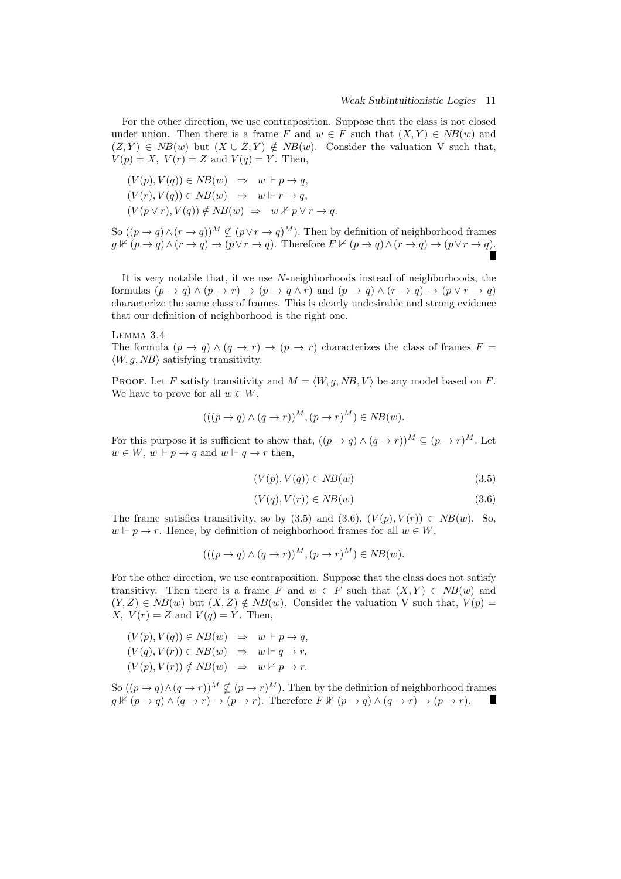For the other direction, we use contraposition. Suppose that the class is not closed under union. Then there is a frame *F* and  $w \in F$  such that  $(X, Y) \in NB(w)$  and  $(Z, Y) \in NB(w)$  but  $(X \cup Z, Y) \notin NB(w)$ . Consider the valuation V such that,  $V(p) = X$ ,  $V(r) = Z$  and  $V(q) = Y$ . Then,

$$
(V(p), V(q)) \in NB(w) \Rightarrow w \Vdash p \to q,
$$
  
\n
$$
(V(r), V(q)) \in NB(w) \Rightarrow w \Vdash r \to q,
$$
  
\n
$$
(V(p \lor r), V(q)) \notin NB(w) \Rightarrow w \nvDash p \lor r \to q.
$$

So  $((p \rightarrow q) \land (r \rightarrow q))^M \nsubseteq (p \lor r \rightarrow q)^M$ . Then by definition of neighborhood frames  $g \nVdash (p \to q) \land (r \to q) \to (p \lor r \to q)$ . Therefore  $F \nVdash (p \to q) \land (r \to q) \to (p \lor r \to q)$ .

It is very notable that, if we use *N*-neighborhoods instead of neighborhoods, the formulas  $(p \to q) \land (p \to r) \to (p \to q \land r)$  and  $(p \to q) \land (r \to q) \to (p \lor r \to q)$ characterize the same class of frames. This is clearly undesirable and strong evidence that our definition of neighborhood is the right one.

#### Lemma 3.4

The formula  $(p \to q) \land (q \to r) \to (p \to r)$  characterizes the class of frames  $F =$  $\langle W, q, NB \rangle$  satisfying transitivity.

PROOF. Let *F* satisfy transitivity and  $M = \langle W, g, NB, V \rangle$  be any model based on *F*. We have to prove for all  $w \in W$ ,

$$
(((p \to q) \land (q \to r))^{M}, (p \to r)^{M}) \in NB(w).
$$

For this purpose it is sufficient to show that,  $((p \to q) \land (q \to r))^M \subseteq (p \to r)^M$ . Let  $w \in W$ ,  $w \Vdash p \rightarrow q$  and  $w \Vdash q \rightarrow r$  then,

$$
(V(p), V(q)) \in NB(w)
$$
\n
$$
(3.5)
$$

$$
(V(q), V(r)) \in NB(w)
$$
\n
$$
(3.6)
$$

The frame satisfies transitivity, so by  $(3.5)$  and  $(3.6)$ ,  $(V(p), V(r)) \in NB(w)$ . So,  $w \Vdash p \to r$ . Hence, by definition of neighborhood frames for all  $w \in W$ ,

$$
(((p \to q) \land (q \to r))^{M}, (p \to r)^{M}) \in NB(w).
$$

For the other direction, we use contraposition. Suppose that the class does not satisfy transitivy. Then there is a frame *F* and  $w \in F$  such that  $(X, Y) \in NB(w)$  and  $(Y, Z) \in NB(w)$  but  $(X, Z) \notin NB(w)$ . Consider the valuation V such that,  $V(p)$ *X*,  $V(r) = Z$  and  $V(q) = Y$ . Then,

$$
(V(p), V(q)) \in NB(w) \Rightarrow w \Vdash p \to q,
$$
  
\n
$$
(V(q), V(r)) \in NB(w) \Rightarrow w \Vdash q \to r,
$$
  
\n
$$
(V(p), V(r)) \notin NB(w) \Rightarrow w \nvDash p \to r.
$$

So  $((p \rightarrow q) \land (q \rightarrow r))^M \nsubseteq (p \rightarrow r)^M$ . Then by the definition of neighborhood frames  $g \nVdash (p \to q) \land (q \to r) \to (p \to r)$ . Therefore  $F \nVdash (p \to q) \land (q \to r) \to (p \to r)$ . Г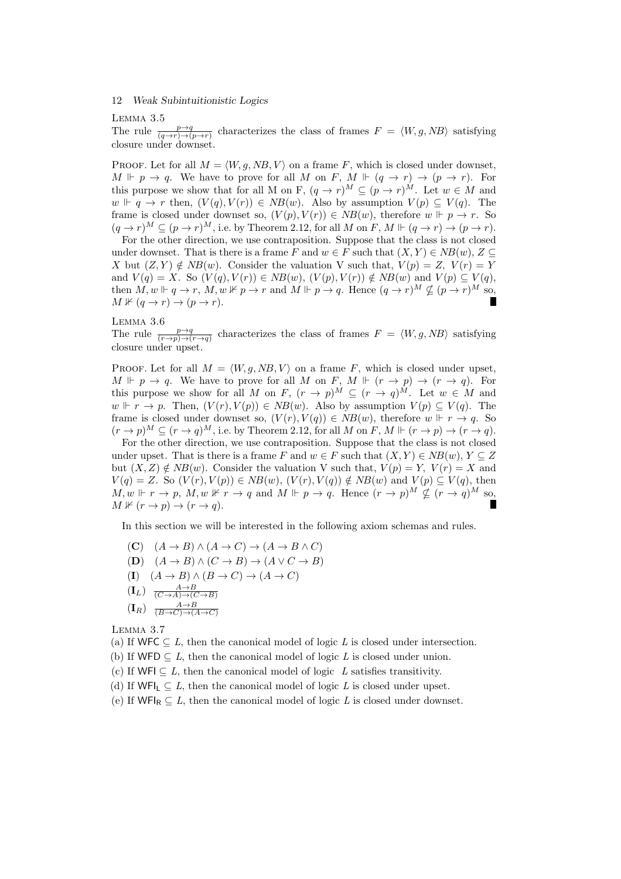Lemma 3.5

The rule  $\frac{p\rightarrow q}{(q\rightarrow r)\rightarrow (p\rightarrow r)}$  characterizes the class of frames  $F = \langle W, g, NB \rangle$  satisfying closure under downset.

PROOF. Let for all  $M = \langle W, g, NB, V \rangle$  on a frame *F*, which is closed under downset,  $M \Vdash p \to q$ . We have to prove for all M on *F*,  $M \Vdash (q \to r) \to (p \to r)$ . For this purpose we show that for all M on F,  $(q \rightarrow r)^M \subset (p \rightarrow r)^M$ . Let  $w \in M$  and  $w \Vdash q \to r$  then,  $(V(q), V(r)) \in NB(w)$ . Also by assumption  $V(p) \subseteq V(q)$ . The frame is closed under downset so,  $(V(p), V(r)) \in NB(w)$ , therefore  $w \Vdash p \to r$ . So  $(q \rightarrow r)^M \subseteq (p \rightarrow r)^M$ , i.e. by Theorem 2.12, for all *M* on *F*, *M*  $\models (q \rightarrow r) \rightarrow (p \rightarrow r)$ .

For the other direction, we use contraposition. Suppose that the class is not closed under downset. That is there is a frame *F* and  $w \in F$  such that  $(X, Y) \in NB(w)$ ,  $Z \subseteq$ *X* but  $(Z, Y) \notin NB(w)$ . Consider the valuation V such that,  $V(p) = Z$ ,  $V(r) = Y$ and  $V(q) = X$ . So  $(V(q), V(r)) \in NB(w)$ ,  $(V(p), V(r)) \notin NB(w)$  and  $V(p) \subseteq V(q)$ , then  $M, w \Vdash q \to r$ ,  $M, w \nvDash p \to r$  and  $M \Vdash p \to q$ . Hence  $(q \to r)^M \nsubseteq (p \to r)^M$  so,  $M \not\vdash (q \rightarrow r) \rightarrow (p \rightarrow r).$ 

# Lemma 3.6

The rule  $\frac{p\rightarrow q}{(r\rightarrow p)\rightarrow(r\rightarrow q)}$  characterizes the class of frames  $F = \langle W, g, NB \rangle$  satisfying closure under upset.

PROOF. Let for all  $M = \langle W, q, NB, V \rangle$  on a frame *F*, which is closed under upset,  $M \Vdash p \to q$ . We have to prove for all *M* on *F*,  $M \Vdash (r \to p) \to (r \to q)$ . For this purpose we show for all *M* on *F*,  $(r \to p)^M \subseteq (r \to q)^M$ . Let  $w \in M$  and  $w \Vdash r \to p$ . Then,  $(V(r), V(p)) \in NB(w)$ . Also by assumption  $V(p) \subseteq V(q)$ . The frame is closed under downset so,  $(V(r), V(q)) \in NB(w)$ , therefore  $w \Vdash r \to q$ . So  $(r \rightarrow p)^M \subset (r \rightarrow q)^M$ , i.e. by Theorem 2.12, for all M on *F*, M  $\Vdash (r \rightarrow p) \rightarrow (r \rightarrow q)$ .

For the other direction, we use contraposition. Suppose that the class is not closed under upset. That is there is a frame *F* and  $w \in F$  such that  $(X, Y) \in NB(w)$ ,  $Y \subseteq Z$ but  $(X, Z) \notin NB(w)$ . Consider the valuation V such that,  $V(p) = Y$ ,  $V(r) = X$  and  $V(q) = Z$ . So  $(V(r), V(p)) \in NB(w)$ ,  $(V(r), V(q)) \notin NB(w)$  and  $V(p) \subseteq V(q)$ , then  $M, w \Vdash r \to p$ ,  $M, w \nvDash r \to q$  and  $M \Vdash p \to q$ . Hence  $(r \to p)^M \nsubseteq (r \to q)^M$  so,  $M \not\Vdash (r \rightarrow p) \rightarrow (r \rightarrow q).$ 

In this section we will be interested in the following axiom schemas and rules.

 $(A \rightarrow B) \land (A \rightarrow C) \rightarrow (A \rightarrow B \land C)$  $(A \rightarrow B) \land (C \rightarrow B) \rightarrow (A \lor C \rightarrow B)$  $(\mathbf{I})$   $(A \to B) \land (B \to C) \to (A \to C)$  $(L_L)$   $\frac{A \rightarrow B}{(C \rightarrow A) \rightarrow (C \rightarrow B)}$  $(\mathbf{I}_R)$   $\xrightarrow{(B \to C) \to (A \to C)}$ 

Lemma 3.7

(a) If WFC  $\subseteq L$ , then the canonical model of logic L is closed under intersection.

- (b) If WFD  $\subseteq L$ , then the canonical model of logic *L* is closed under union.
- (c) If WFI  $\subseteq L$ , then the canonical model of logic *L* satisfies transitivity.
- (d) If  $WFI_L \subseteq L$ , then the canonical model of logic *L* is closed under upset.
- (e) If  $WFI_R \subseteq L$ , then the canonical model of logic *L* is closed under downset.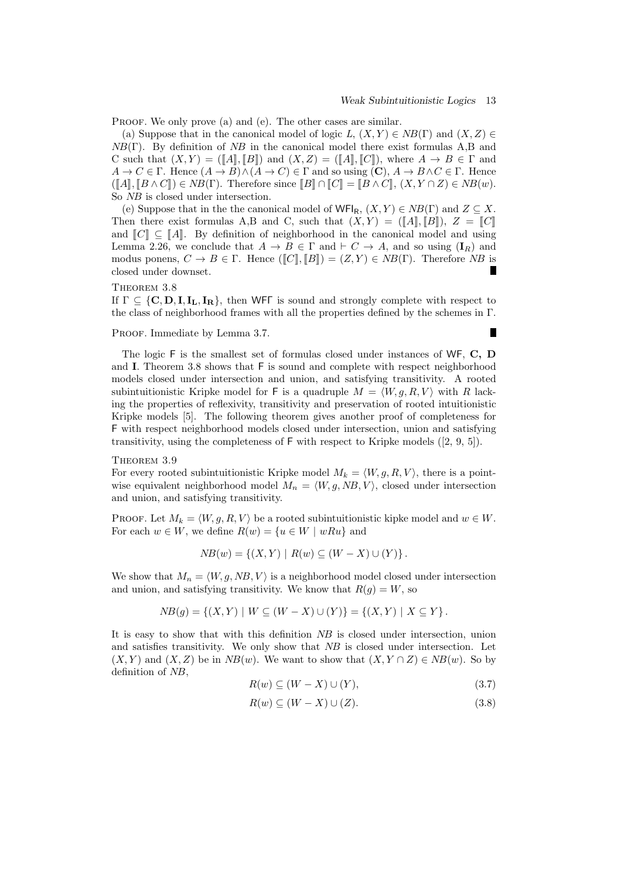$\blacksquare$ 

PROOF. We only prove (a) and (e). The other cases are similar.

(a) Suppose that in the canonical model of logic *L*,  $(X, Y) \in NB(\Gamma)$  and  $(X, Z) \in$ *NB*(Γ). By definition of *NB* in the canonical model there exist formulas A,B and C such that  $(X, Y) = (\llbracket A \rrbracket, \llbracket B \rrbracket)$  and  $(X, Z) = (\llbracket A \rrbracket, \llbracket C \rrbracket)$ , where  $A \to B \in \Gamma$  and  $A \to C \in \Gamma$ . Hence  $(A \to B) \land (A \to C) \in \Gamma$  and so using  $(C), A \to B \land C \in \Gamma$ . Hence  $(\llbracket A \rrbracket, \llbracket B \wedge C \rrbracket) \in NB(\Gamma)$ . Therefore since  $\llbracket B \rrbracket \cap \llbracket C \rrbracket = \llbracket B \wedge C \rrbracket, (X, Y \cap Z) \in NB(w)$ . So *NB* is closed under intersection.

(e) Suppose that in the the canonical model of  $WFI_R$ ,  $(X, Y) \in NB(\Gamma)$  and  $Z \subseteq X$ . Then there exist formulas A,B and C, such that  $(X, Y) = (\llbracket A \rrbracket, \llbracket B \rrbracket), Z = \llbracket C \rrbracket$ and  $\llbracket C \rrbracket \subset \llbracket A \rrbracket$ . By definition of neighborhood in the canonical model and using Lemma 2.26, we conclude that  $A \to B \in \Gamma$  and  $\vdash C \to A$ , and so using  $(I_R)$  and modus ponens,  $C \to B \in \Gamma$ . Hence  $(\llbracket C \rrbracket, \llbracket B \rrbracket) = (Z, Y) \in NB(\Gamma)$ . Therefore *NB* is closed under downset.

THEOREM 3.8

If  $\Gamma \subseteq \{C, D, I, I_L, I_R\}$ , then WFF is sound and strongly complete with respect to the class of neighborhood frames with all the properties defined by the schemes in Γ.

#### PROOF. Immediate by Lemma 3.7.

The logic F is the smallest set of formulas closed under instances of WF, **C, D** and **I**. Theorem 3.8 shows that F is sound and complete with respect neighborhood models closed under intersection and union, and satisfying transitivity. A rooted subintuitionistic Kripke model for F is a quadruple  $M = \langle W, g, R, V \rangle$  with R lacking the properties of reflexivity, transitivity and preservation of rooted intuitionistic Kripke models [5]. The following theorem gives another proof of completeness for F with respect neighborhood models closed under intersection, union and satisfying transitivity, using the completeness of  $F$  with respect to Kripke models  $([2, 9, 5]).$ 

#### THEOREM 3.9

For every rooted subintuitionistic Kripke model  $M_k = \langle W, g, R, V \rangle$ , there is a pointwise equivalent neighborhood model  $M_n = \langle W, g, NB, V \rangle$ , closed under intersection and union, and satisfying transitivity.

PROOF. Let  $M_k = \langle W, g, R, V \rangle$  be a rooted subintuitionistic kipke model and  $w \in W$ . For each  $w \in W$ , we define  $R(w) = \{u \in W \mid wRu\}$  and

$$
NB(w) = \{(X, Y) \mid R(w) \subseteq (W - X) \cup (Y)\}.
$$

We show that  $M_n = \langle W, q, NB, V \rangle$  is a neighborhood model closed under intersection and union, and satisfying transitivity. We know that  $R(g) = W$ , so

$$
NB(g) = \{(X, Y) \mid W \subseteq (W - X) \cup (Y)\} = \{(X, Y) \mid X \subseteq Y\}.
$$

It is easy to show that with this definition *NB* is closed under intersection, union and satisfies transitivity. We only show that *NB* is closed under intersection. Let  $(X, Y)$  and  $(X, Z)$  be in  $NB(w)$ . We want to show that  $(X, Y \cap Z) \in NB(w)$ . So by definition of *NB*,

$$
R(w) \subseteq (W - X) \cup (Y),\tag{3.7}
$$

$$
R(w) \subseteq (W - X) \cup (Z). \tag{3.8}
$$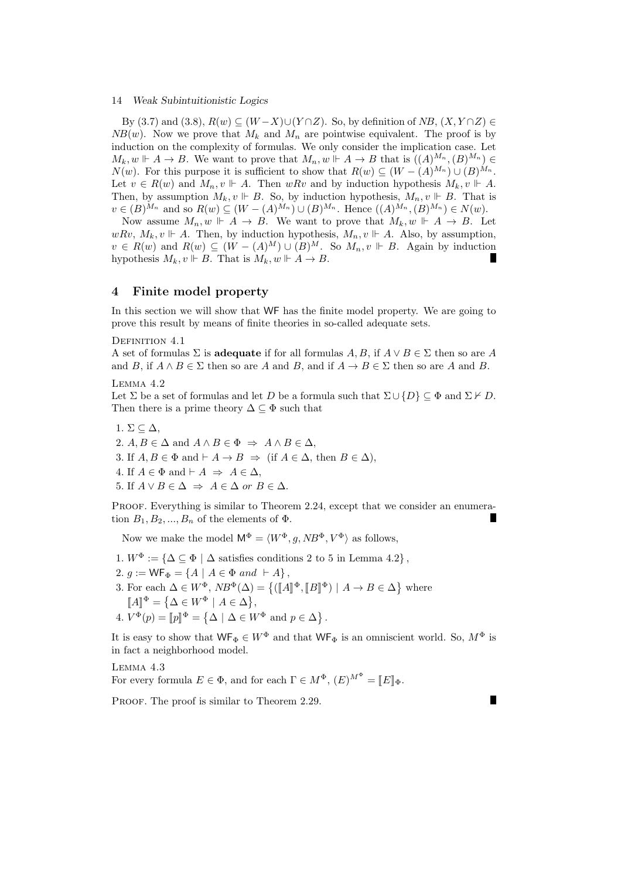By (3.7) and (3.8),  $R(w) \subseteq (W - X) \cup (Y \cap Z)$ . So, by definition of *NB*,  $(X, Y \cap Z) \in$  $NB(w)$ . Now we prove that  $M_k$  and  $M_n$  are pointwise equivalent. The proof is by induction on the complexity of formulas. We only consider the implication case. Let  $M_k, w \Vdash A \to B$ . We want to prove that  $M_n, w \Vdash A \to B$  that is  $((A)^{M_n}, (B)^{M_n}) \in$ *N*(*w*). For this purpose it is sufficient to show that  $R(w) \subseteq (W - (A)^{M_n}) \cup (B)^{M_n}$ . Let  $v \in R(w)$  and  $M_n, v \Vdash A$ . Then  $wRv$  and by induction hypothesis  $M_k, v \Vdash A$ . Then, by assumption  $M_k$ ,  $v \Vdash B$ . So, by induction hypothesis,  $M_n$ ,  $v \Vdash B$ . That is  $v \in (B)^{M_n}$  and so  $R(w) \subseteq (W - (A)^{M_n}) \cup (B)^{M_n}$ . Hence  $((A)^{M_n}, (B)^{M_n}) \in N(w)$ .

Now assume  $M_n, w \Vdash A \to B$ . We want to prove that  $M_k, w \Vdash A \to B$ . Let  $wRv, M_k, v \Vdash A$ . Then, by induction hypothesis,  $M_n, v \Vdash A$ . Also, by assumption,  $v \in R(w)$  and  $R(w) \subseteq (W - (A)^M) \cup (B)^M$ . So  $M_n, v \Vdash B$ . Again by induction hypothesis  $M_k$ ,  $v \Vdash B$ . That is  $M_k$ ,  $w \Vdash A \to B$ .

## **4 Finite model property**

In this section we will show that WF has the finite model property. We are going to prove this result by means of finite theories in so-called adequate sets.

## DEFINITION 4.1

A set of formulas  $\Sigma$  is **adequate** if for all formulas  $A, B$ , if  $A \vee B \in \Sigma$  then so are A and *B*, if  $A \wedge B \in \Sigma$  then so are *A* and *B*, and if  $A \rightarrow B \in \Sigma$  then so are *A* and *B*.

## Lemma 4.2

Let  $\Sigma$  be a set of formulas and let *D* be a formula such that  $\Sigma \cup \{D\} \subset \Phi$  and  $\Sigma \nvdash D$ . Then there is a prime theory  $\Delta \subseteq \Phi$  such that

1.  $\Sigma \subseteq \Delta$ , 2.  $A, B \in \Delta$  and  $A \wedge B \in \Phi \Rightarrow A \wedge B \in \Delta$ , 3. If  $A, B \in \Phi$  and  $\vdash A \to B \Rightarrow$  (if  $A \in \Delta$ , then  $B \in \Delta$ ), 4. If  $A \in \Phi$  and  $\vdash A \Rightarrow A \in \Delta$ , 5. If  $A \lor B \in \Delta \Rightarrow A \in \Delta$  *or*  $B \in \Delta$ *.* 

PROOF. Everything is similar to Theorem 2.24, except that we consider an enumeration  $B_1, B_2, ..., B_n$  of the elements of  $\Phi$ .

Now we make the model  $M^{\Phi} = \langle W^{\Phi}, a, NB^{\Phi}, V^{\Phi} \rangle$  as follows,

- 1.  $W^{\Phi} := {\{\Delta \subseteq \Phi \mid \Delta \text{ satisfies conditions 2 to 5 in Lemma 4.2}}\},$
- $2. g := \mathsf{WF}_{\Phi} = \{A \mid A \in \Phi \text{ and } \vdash A\},\$
- 3. For each  $\Delta \in W^{\Phi}$ ,  $NB^{\Phi}(\Delta) = \{([\![A]\!]^{\Phi}, [\![B]\!]^{\Phi}) \mid A \to B \in \Delta \}$  where  $[A]^\Phi = {\Delta \in W^\Phi \mid A \in \Delta},$
- 4.  $V^{\Phi}(p) = [p]^{\Phi} = {\{\Delta \mid \Delta \in W^{\Phi} \text{ and } p \in \Delta\}}.$

It is easy to show that  $WF_{\Phi} \in W^{\Phi}$  and that  $WF_{\Phi}$  is an omniscient world. So,  $M^{\Phi}$  is in fact a neighborhood model.

П

Lemma 4.3

For every formula  $E \in \Phi$ , and for each  $\Gamma \in M^{\Phi}$ ,  $(E)^{M^{\Phi}} = [E]_{\Phi}$ .

PROOF. The proof is similar to Theorem 2.29.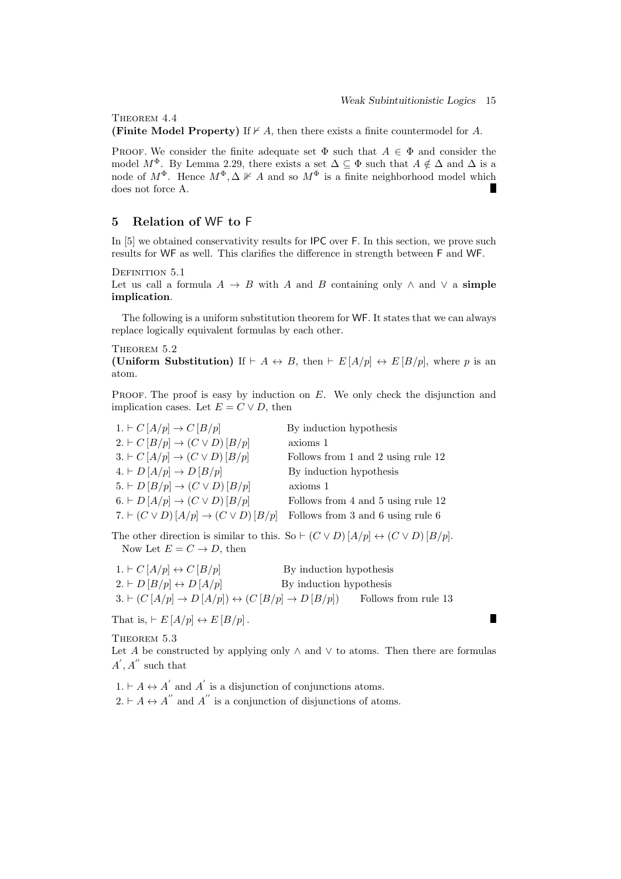Г

THEOREM 4.4

**(Finite Model Property)** If  $\nvdash A$ , then there exists a finite countermodel for *A*.

PROOF. We consider the finite adequate set  $\Phi$  such that  $A \in \Phi$  and consider the model  $M^{\Phi}$ . By Lemma 2.29, there exists a set  $\Delta \subseteq \Phi$  such that  $A \notin \Delta$  and  $\Delta$  is a node of  $M^{\Phi}$ . Hence  $M^{\Phi}$ ,  $\Delta \nVdash A$  and so  $M^{\Phi}$  is a finite neighborhood model which does not force A. H

## **5 Relation of** WF **to** F

In [5] we obtained conservativity results for **IPC** over F. In this section, we prove such results for WF as well. This clarifies the difference in strength between F and WF.

DEFINITION 5.1

Let us call a formula  $A \rightarrow B$  with *A* and *B* containing only  $\land$  and  $\lor$  a **simple implication**.

The following is a uniform substitution theorem for WF. It states that we can always replace logically equivalent formulas by each other.

THEOREM  $5.2$ 

**(Uniform Substitution)** If  $\vdash A \leftrightarrow B$ , then  $\vdash E[A/p] \leftrightarrow E[B/p]$ , where *p* is an atom.

PROOF. The proof is easy by induction on E. We only check the disjunction and implication cases. Let  $E = C \vee D$ , then

| 1. $\vdash C\left[A/p\right]\rightarrow C\left[B/p\right]$                                 | By induction hypothesis            |
|--------------------------------------------------------------------------------------------|------------------------------------|
| $2. \vdash C [B/p] \rightarrow (C \vee D) [B/p]$                                           | axioms 1                           |
| $3. \vdash C \left[ A/p \right] \rightarrow (C \vee D) \left[ B/p \right]$                 | Follows from 1 and 2 using rule 12 |
| $4. \vdash D\left[A/p\right] \rightarrow D\left[B/p\right]$                                | By induction hypothesis            |
| $5. \vdash D \left[ \frac{B}{p} \right] \rightarrow (C \vee D) \left[ \frac{B}{p} \right]$ | axioms 1                           |
| $6. \vdash D\left[A/p\right] \rightarrow (C \vee D)\left[B/p\right]$                       | Follows from 4 and 5 using rule 12 |
| 7. $\vdash$ $(C \vee D)$ $[A/p] \rightarrow (C \vee D)$ $[B/p]$                            | Follows from 3 and 6 using rule 6  |

The other direction is similar to this. So  $\vdash$   $(C \lor D)$   $[A/p] \leftrightarrow (C \lor D)$   $[B/p]$ . Now Let  $E = C \rightarrow D$ , then

| $1. \vdash C \left[ A/p \right] \leftrightarrow C \left[ B/p \right]$                   | By induction hypothesis |  |
|-----------------------------------------------------------------------------------------|-------------------------|--|
| $2. \vdash D [B/p] \leftrightarrow D [A/p]$                                             | By induction hypothesis |  |
| $3. \vdash (C [A/p] \rightarrow D [A/p]) \leftrightarrow (C [B/p] \rightarrow D [B/p])$ | Follows from rule 13    |  |

That is,  $\vdash E[A/p] \leftrightarrow E[B/p]$ .

THEOREM 5.3

Let *A* be constructed by applying only  $\land$  and  $\lor$  to atoms. Then there are formulas  $A', A''$  such that

 $1. \vdash A \leftrightarrow A'$  and  $A'$  is a disjunction of conjunctions atoms.  $2. \vdash A \leftrightarrow A''$  and  $A''$  is a conjunction of disjunctions of atoms.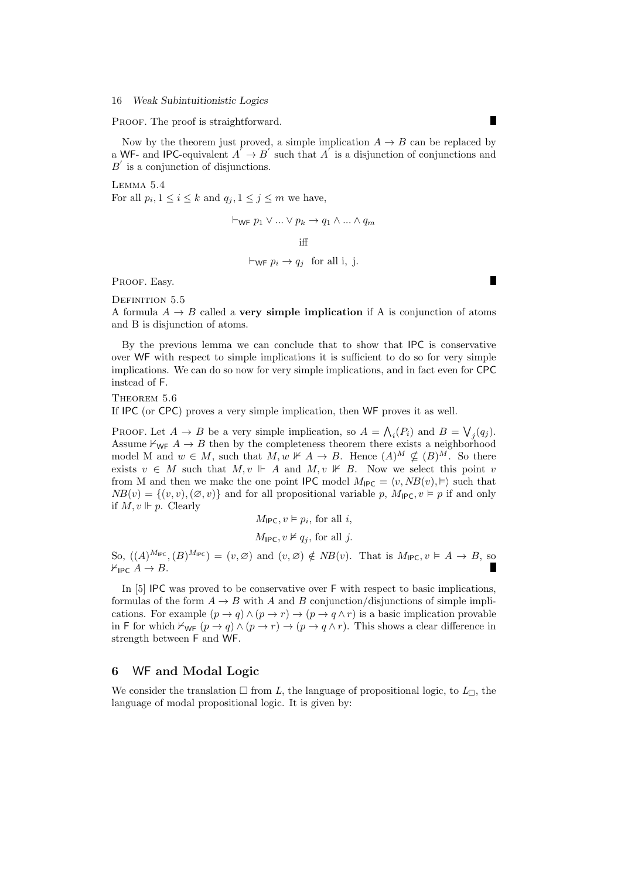PROOF. The proof is straightforward.

Now by the theorem just proved, a simple implication  $A \rightarrow B$  can be replaced by a WF- and IPC-equivalent  $A' \rightarrow B'$  such that  $A'$  is a disjunction of conjunctions and  $B$ <sup> $\prime$ </sup> is a conjunction of disjunctions.

Lemma 5.4 For all  $p_i, 1 \leq i \leq k$  and  $q_j, 1 \leq j \leq m$  we have,

> $\vdash$ wF  $p_1 ∨ ... ∨ p_k → q_1 ∧ ... ∧ q_m$ iff  $\vdash_{\mathsf{WF}} p_i \rightarrow q_j$  for all i, j.

PROOF. Easy.

DEFINITION 5.5

A formula  $A \rightarrow B$  called a **very simple implication** if A is conjunction of atoms and B is disjunction of atoms.

By the previous lemma we can conclude that to show that IPC is conservative over WF with respect to simple implications it is sufficient to do so for very simple implications. We can do so now for very simple implications, and in fact even for CPC instead of F.

THEOREM 5.6

If IPC (or CPC) proves a very simple implication, then WF proves it as well.

PROOF. Let  $A \to B$  be a very simple implication, so  $A = \bigwedge_i (P_i)$  and  $B = \bigvee_j (q_j)$ . Assume  $\forall_{\text{WF}} A \rightarrow B$  then by the completeness theorem there exists a neighborhood model M and  $w \in M$ , such that  $M, w \nVdash A \to B$ . Hence  $(A)^M \nsubseteq (B)^M$ . So there exists  $v \in M$  such that  $M, v \Vdash A$  and  $M, v \nvDash B$ . Now we select this point *v* from M and then we make the one point IPC model  $M_{\text{IPC}} = \langle v, NB(v), \vDash \rangle$  such that  $NB(v) = \{(v, v), (\emptyset, v)\}\$ and for all propositional variable p,  $M_{\text{IPC}}$ ,  $v \vDash p$  if and only if  $M, v \Vdash p$ . Clearly

$$
M_{\mathsf{IPC}}, v \vDash p_i, \text{ for all } i,
$$
  

$$
M_{\mathsf{IPC}}, v \nvDash q_j, \text{ for all } j.
$$

So,  $((A)^{M_{\text{IPC}}}, (B)^{M_{\text{IPC}}}) = (v, \varnothing)$  and  $(v, \varnothing) \notin NB(v)$ . That is  $M_{\text{IPC}}$ ,  $v \models A \rightarrow B$ , so  $\forall$ ipc  $A \rightarrow B$ .

In [5] IPC was proved to be conservative over F with respect to basic implications, formulas of the form  $A \rightarrow B$  with *A* and *B* conjunction/disjunctions of simple implications. For example  $(p \to q) \land (p \to r) \to (p \to q \land r)$  is a basic implication provable in F for which  $\forall_{WF}$   $(p \rightarrow q) \land (p \rightarrow r) \rightarrow (p \rightarrow q \land r)$ . This shows a clear difference in strength between F and WF.

## **6** WF **and Modal Logic**

We consider the translation  $\Box$  from L, the language of propositional logic, to  $L_{\Box}$ , the language of modal propositional logic. It is given by:

П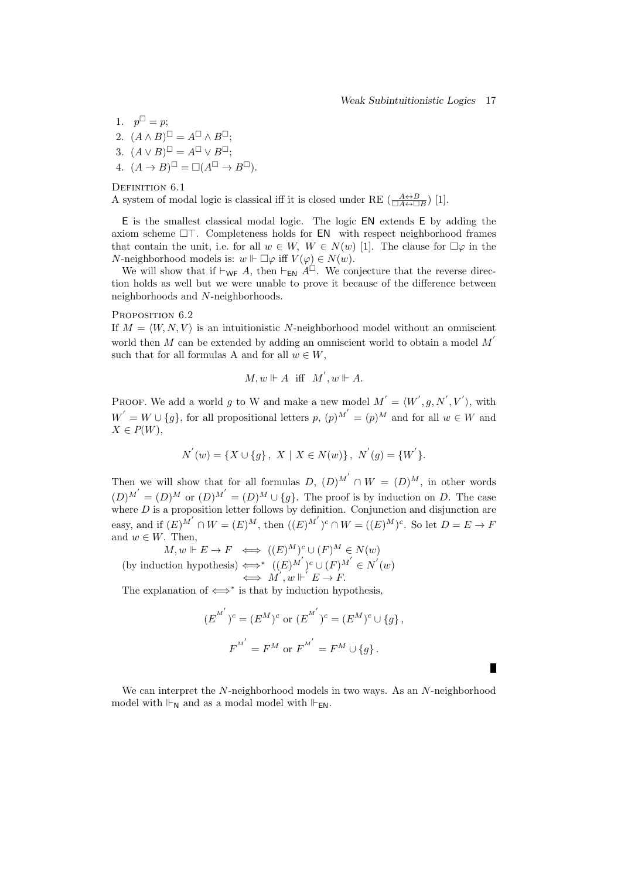П

1.  $p^{\perp} = p$ ; 2.  $(A \wedge B)^{\sqcup} = A^{\sqcup} \wedge B^{\sqcup}$ ;  $(A \vee B)^{\sqcup} = A^{\sqcup} \vee B^{\sqcup}$ ;  $( A \rightarrow B)^{\sqcup} = \Box (A^{\sqcup} \rightarrow B^{\sqcup}).$ 

DEFINITION 6.1

A system of modal logic is classical iff it is closed under RE  $\left(\frac{A \leftrightarrow B}{\Box A \leftrightarrow \Box B}\right)$  [1].

E is the smallest classical modal logic. The logic EN extends E by adding the axiom scheme  $\Box$ . Completeness holds for  $EN$  with respect neighborhood frames that contain the unit, i.e. for all  $w \in W$ ,  $W \in N(w)$  [1]. The clause for  $\Box \varphi$  in the *N*-neighborhood models is:  $w \Vdash \Box \varphi$  iff  $V(\varphi) \in N(w)$ .

We will show that if  $\vdash_{\mathsf{WF}} A$ , then  $\vdash_{\mathsf{EN}} A^{\Box}$ . We conjecture that the reverse direction holds as well but we were unable to prove it because of the difference between neighborhoods and *N*-neighborhoods.

PROPOSITION 6.2

If  $M = \langle W, N, V \rangle$  is an intuitionistic N-neighborhood model without an omniscient world then *M* can be extended by adding an omniscient world to obtain a model  $M'$ such that for all formulas A and for all  $w \in W$ ,

$$
M, w \Vdash A \text{ iff } M', w \Vdash A.
$$

PROOF. We add a world g to W and make a new model  $M' = \langle W', g, N', V' \rangle$ , with  $W' = W \cup \{g\}$ , for all propositional letters *p*,  $(p)^{M'} = (p)^M$  and for all  $w \in W$  and *X ∈ P*(*W*),

$$
N^{'}(w) = \{X \cup \{g\}, \ X \mid X \in N(w)\}, \ N^{'}(g) = \{W^{'}\}.
$$

Then we will show that for all formulas  $D$ ,  $(D)^{M'} \cap W = (D)^M$ , in other words  $(D)^{M'} = (D)^{M}$  or  $(D)^{M'} = (D)^{M} \cup \{g\}$ . The proof is by induction on *D*. The case where *D* is a proposition letter follows by definition. Conjunction and disjunction are easy, and if  $(E)^{M'} \cap W = (E)^M$ , then  $((E)^{M'})^c \cap W = ((E)^M)^c$ . So let  $D = E \to F$ and  $w \in W$ . Then,

 $M, w \Vdash E \to F \iff ((E)^M)^c \cup (F)^M \in N(w)$ (by induction hypothesis)  $\Longleftrightarrow^*$   $((E)^{M'})^c \cup (F)^{M'} \in N'(w)$  $\iff M', w \Vdash' E \to F.$ 

The explanation of *⇐⇒<sup>∗</sup>* is that by induction hypothesis,

$$
(E^{M'})^c = (E^M)^c
$$
 or  $(E^{M'})^c = (E^M)^c \cup \{g\},$   
 $F^{M'} = F^M$  or  $F^{M'} = F^M \cup \{g\}.$ 

We can interpret the *N*-neighborhood models in two ways. As an *N*-neighborhood model with  $\Vdash_{\mathsf{N}}$  and as a modal model with  $\Vdash_{\mathsf{EN}}$ .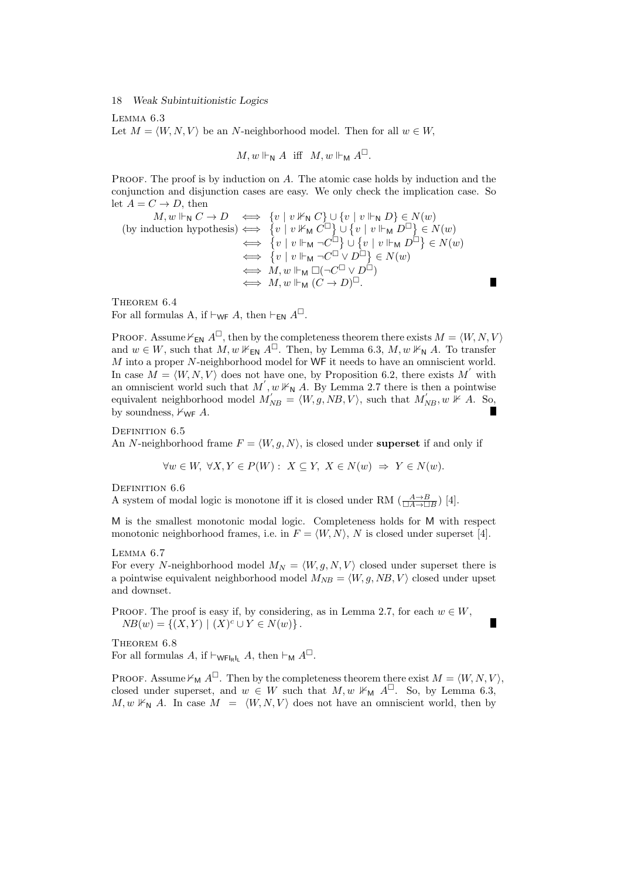Lemma 6.3

Let  $M = \langle W, N, V \rangle$  be an *N*-neighborhood model. Then for all  $w \in W$ ,

$$
M, w \Vdash_{\mathsf{N}} A \text{ iff } M, w \Vdash_{\mathsf{M}} A^{\square}.
$$

PROOF. The proof is by induction on A. The atomic case holds by induction and the conjunction and disjunction cases are easy. We only check the implication case. So let  $A = C \rightarrow D$ , then

$$
M, w \Vdash_{\mathsf{N}} C \to D \iff \{v \mid v \nvDash_{\mathsf{N}} C\} \cup \{v \mid v \Vdash_{\mathsf{N}} D\} \in N(w)
$$
\n(by induction hypothesis) 
$$
\iff \{v \mid v \nvDash_{\mathsf{M}} C^{\Box}\} \cup \{v \mid v \Vdash_{\mathsf{M}} D^{\Box}\} \in N(w)
$$
\n
$$
\iff \{v \mid v \Vdash_{\mathsf{M}} \neg C^{\Box}\} \cup \{v \mid v \Vdash_{\mathsf{M}} D^{\Box}\} \in N(w)
$$
\n
$$
\iff \{v \mid v \Vdash_{\mathsf{M}} \neg C^{\Box} \vee D^{\Box}\} \in N(w)
$$
\n
$$
\iff M, w \Vdash_{\mathsf{M}} \Box(\neg C^{\Box} \vee D^{\Box})
$$
\n
$$
\iff M, w \Vdash_{\mathsf{M}} (C \to D)^{\Box}.
$$

П

 $\blacksquare$ 

THEOREM  $6.4$ For all formulas A, if  $\vdash_{\mathsf{WF}} A$ , then  $\vdash_{\mathsf{EN}} A^{\square}$ .

PROOF. Assume  $\nvdash_{\mathsf{EN}} A^{\square}$ , then by the completeness theorem there exists  $M = \langle W, N, V \rangle$ and  $w \in W$ , such that  $M, w \nvDash_{\mathbb{N}} A^{\square}$ . Then, by Lemma 6.3,  $M, w \nvDash_{\mathbb{N}} A$ . To transfer *M* into a proper *N*-neighborhood model for WF it needs to have an omniscient world. In case  $M = \langle W, N, V \rangle$  does not have one, by Proposition 6.2, there exists  $M'$  with an omniscient world such that  $M'$ ,  $w \nvDash_{\mathbb{N}} A$ . By Lemma 2.7 there is then a pointwise equivalent neighborhood model  $M'_{NB} = \langle W, g, NB, V \rangle$ , such that  $M'_{NB}$ ,  $w \not\vdash A$ . So, by soundness,  $\forall_{WF}$  *A*.

DEFINITION 6.5 An *N*-neighborhood frame  $F = \langle W, g, N \rangle$ , is closed under **superset** if and only if

$$
\forall w \in W, \ \forall X, Y \in P(W): \ X \subseteq Y, \ X \in N(w) \ \Rightarrow \ Y \in N(w).
$$

DEFINITION 6.6

A system of modal logic is monotone iff it is closed under RM  $\left(\frac{A\rightarrow B}{\Box A\rightarrow \Box B}\right)$  [4].

M is the smallest monotonic modal logic. Completeness holds for M with respect monotonic neighborhood frames, i.e. in  $F = \langle W, N \rangle$ , N is closed under superset [4].

Lemma 6.7

For every *N*-neighborhood model  $M_N = \langle W, g, N, V \rangle$  closed under superset there is a pointwise equivalent neighborhood model  $M_{NB} = \langle W, g, NB, V \rangle$  closed under upset and downset.

PROOF. The proof is easy if, by considering, as in Lemma 2.7, for each  $w \in W$ ,  $NB(w) = \{(X, Y) | (X)^c \cup Y \in N(w)\}.$ 

THEOREM  $6.8$ For all formulas  $A$ , if  $\vdash_{\mathsf{WFInL}} A$ , then  $\vdash_{\mathsf{M}} A^{\square}$ .

PROOF. Assume  $\forall_{M} A^{\square}$ . Then by the completeness theorem there exist  $M = \langle W, N, V \rangle$ , closed under superset, and  $w \in W$  such that  $M, w \nvDash_{M} A^{\square}$ . So, by Lemma 6.3,  $M, w \nvDash_{\mathbb{N}} A$ . In case  $M = \langle W, N, V \rangle$  does not have an omniscient world, then by